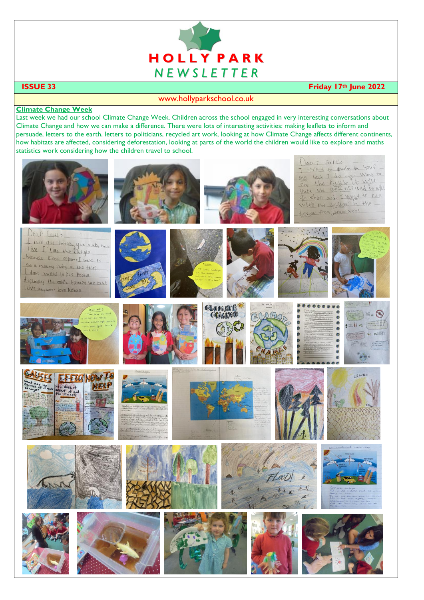

### **ISSUE 33 Friday 17th June 2022**

### www.hollyparkschool.co.uk

#### **Climate Change Week**

Last week we had our school Climate Change Week. Children across the school engaged in very interesting conversations about Climate Change and how we can make a difference. There were lots of interesting activities: making leaflets to inform and persuade, letters to the earth, letters to politicians, recycled art work, looking at how Climate Change affects different continents, how habitats are affected, considering deforestation, looking at parts of the world the children would like to explore and maths statistics work considering how the children travel to school.

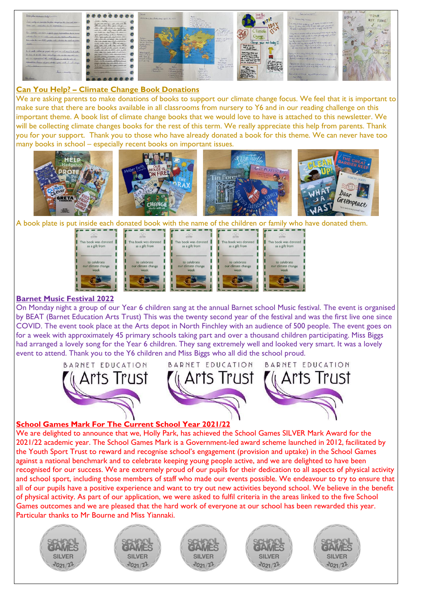

# **Can You Help? – Climate Change Book Donations**

We are asking parents to make donations of books to support our climate change focus. We feel that it is important to make sure that there are books available in all classrooms from nursery to Y6 and in our reading challenge on this important theme. A book list of climate change books that we would love to have is attached to this newsletter. We will be collecting climate changes books for the rest of this term. We really appreciate this help from parents. Thank you for your support. Thank you to those who have already donated a book for this theme. We can never have too many books in school – especially recent books on important issues.



A book plate is put inside each donated book with the name of the children or family who have donated them.





On Monday night a group of our Year 6 children sang at the annual Barnet school Music festival. The event is organised by BEAT (Barnet Education Arts Trust) This was the twenty second year of the festival and was the first live one since COVID. The event took place at the Arts depot in North Finchley with an audience of 500 people. The event goes on for a week with approximately 45 primary schools taking part and over a thousand children participating. Miss Biggs had arranged a lovely song for the Year 6 children. They sang extremely well and looked very smart. It was a lovely event to attend. Thank you to the Y6 children and Miss Biggs who all did the school proud.



#### **School Games Mark For The Current School Year 2021/22**

We are delighted to announce that we, Holly Park, has achieved the School Games SILVER Mark Award for the 2021/22 academic year. The School Games Mark is a Government-led award scheme launched in 2012, facilitated by the Youth Sport Trust to reward and recognise school's engagement (provision and uptake) in the School Games against a national benchmark and to celebrate keeping young people active, and we are delighted to have been recognised for our success. We are extremely proud of our pupils for their dedication to all aspects of physical activity and school sport, including those members of staff who made our events possible. We endeavour to try to ensure that all of our pupils have a positive experience and want to try out new activities beyond school. We believe in the benefit of physical activity. As part of our application, we were asked to fulfil criteria in the areas linked to the five School Games outcomes and we are pleased that the hard work of everyone at our school has been rewarded this year. Particular thanks to Mr Bourne and Miss Yiannaki.

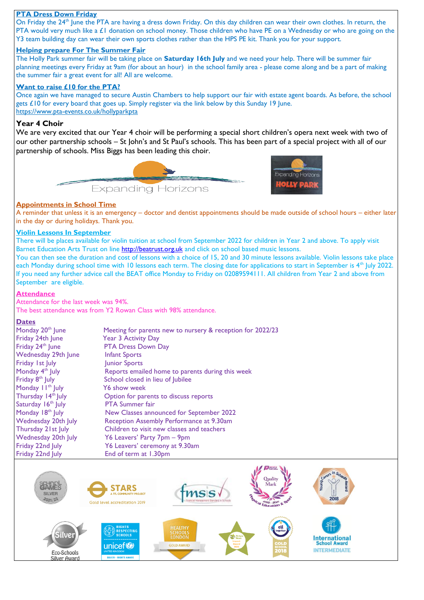#### **PTA Dress Down Friday**

On Friday the 24<sup>th</sup> June the PTA are having a dress down Friday. On this day children can wear their own clothes. In return, the PTA would very much like a  $E1$  donation on school money. Those children who have PE on a Wednesday or who are going on the Y3 team building day can wear their own sports clothes rather than the HPS PE kit. Thank you for your support.

#### **Helping prepare For The Summer Fair**

The Holly Park summer fair will be taking place on **Saturday 16th July** and we need your help. There will be summer fair planning meetings every Friday at 9am (for about an hour) in the school family area - please come along and be a part of making the summer fair a great event for all! All are welcome.

#### **Want to raise £10 for the PTA?**

Once again we have managed to secure Austin Chambers to help support our fair with estate agent boards. As before, the school gets £10 for every board that goes up. Simply register via the link below by this Sunday 19 June. <https://www.pta-events.co.uk/hollyparkpta>

## **Year 4 Choir**

We are very excited that our Year 4 choir will be performing a special short children's opera next week with two of our other partnership schools – St John's and St Paul's schools. This has been part of a special project with all of our partnership of schools. Miss Biggs has been leading this choir.





#### **Appointments in School Time**

A reminder that unless it is an emergency – doctor and dentist appointments should be made outside of school hours – either later in the day or during holidays. Thank you.

# **Violin Lessons In September**

There will be places available for violin tuition at school from September 2022 for children in Year 2 and above. To apply visit Barnet Education Arts Trust on line [http://beatrust.org.uk](http://beatrust.org.uk/) and click on school based music lessons.

You can then see the duration and cost of lessons with a choice of 15, 20 and 30 minute lessons available. Violin lessons take place each Monday during school time with 10 lessons each term. The closing date for applications to start in September is 4<sup>th</sup> July 2022. If you need any further advice call the BEAT office Monday to Friday on 02089594111. All children from Year 2 and above from September are eligible.

#### **Attendance**

Attendance for the last week was 94%. The best attendance was from Y2 Rowan Class with 98% attendance.

#### **Dates**

| Monday 20 <sup>th</sup> June   | Meeting for parents new to nursery & reception for 2022/23 |
|--------------------------------|------------------------------------------------------------|
| Friday 24th June               | <b>Year 3 Activity Day</b>                                 |
| Friday 24 <sup>th</sup> June   | <b>PTA Dress Down Day</b>                                  |
| Wednesday 29th June            | <b>Infant Sports</b>                                       |
| Friday 1st July                | Junior Sports                                              |
| Monday $4th$ July              | Reports emailed home to parents during this week           |
| Friday 8 <sup>th</sup> July    | School closed in lieu of Jubilee                           |
| Monday $11^{th}$ July          | Y6 show week                                               |
| Thursday 14 <sup>th</sup> July | Option for parents to discuss reports                      |
| Saturday 16 <sup>th</sup> July | <b>PTA Summer fair</b>                                     |
| Monday 18 <sup>th</sup> July   | New Classes announced for September 2022                   |
| Wednesday 20th July            | Reception Assembly Performance at 9.30am                   |
| Thursday 21st July             | Children to visit new classes and teachers                 |
| Wednesday 20th July            | Y6 Leavers' Party 7pm – 9pm                                |
| Friday 22nd July               | Y6 Leavers' ceremony at 9.30am                             |
| Friday 22nd July               | End of term at 1.30pm                                      |

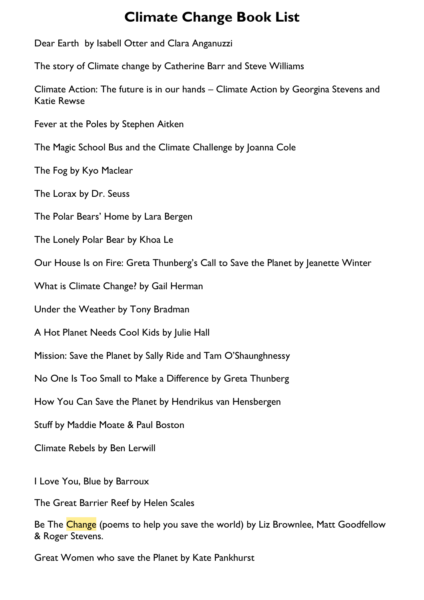# **Climate Change Book List**

Dear Earth by Isabell Otter and Clara Anganuzzi The story of Climate change by Catherine Barr and Steve Williams Climate Action: The future is in our hands – Climate Action by Georgina Stevens and Katie Rewse [Fever at the Poles by Stephen Aitken](https://www.feministbooksforkids.com/books-about-climate-change/#Fever_at_the_Poles_by_Stephen_Aitken) [The Magic School Bus and the Climate Challenge by Joanna Cole](https://www.feministbooksforkids.com/books-about-climate-change/#The_Magic_School_Bus_and_the_Climate_Challenge_by_Joanna_Cole) [The Fog by Kyo Maclear](https://www.feministbooksforkids.com/books-about-climate-change/#The_Fog_by_Kyo_Maclear) [The Lorax by Dr. Seuss](https://www.feministbooksforkids.com/books-about-climate-change/#The_Lorax_by_Dr_Seuss) [The Polar Bears' Home by Lara Bergen](https://www.feministbooksforkids.com/books-about-climate-change/#The_Polar_Bears_Home_by_Lara_Bergen) [The Lonely Polar Bear by Khoa Le](https://www.feministbooksforkids.com/books-about-climate-change/#The_Lonely_Polar_Bear_by_Khoa_Le) Our House Is [on Fire: Greta Thunberg's Call to Save the Planet by Jeanette Winter](https://www.feministbooksforkids.com/books-about-climate-change/#Our_House_Is_on_Fire_Greta_Thunbergs_Call_to_Save_the_Planet_by_Jeanette_Winter) [What is Climate Change? by Gail Herman](https://www.feministbooksforkids.com/books-about-climate-change/#What_is_Climate_Change_by_Gail_Herman)

[Under the Weather by Tony Bradman](https://www.feministbooksforkids.com/books-about-climate-change/#Under_the_Weather_by_Tony_Bradman)

[A Hot Planet Needs Cool Kids by Julie Hall](https://www.feministbooksforkids.com/books-about-climate-change/#A_Hot_Planet_Needs_Cool_Kids_by_Julie_Hall)

[Mission: Save the Planet by Sally Ride and Tam O'Shaunghness](https://www.feministbooksforkids.com/books-about-climate-change/#Mission_Save_the_Planet_by_Sally_Ride_and_Tam_OShaunghnessy)y

[No One Is Too Small to Make a Difference by Greta Thunberg](https://www.feministbooksforkids.com/books-about-climate-change/#No_One_Is_Too_Small_to_Make_a_Difference_by_Greta_Thunberg)

[How You Can Save the Planet](https://www.penguin.co.uk/books/317556/how-you-can-save-the-planet/9780241453049.html) by Hendrikus van Hensbergen

[Stuff](https://www.penguin.co.uk/books/319454/stuff/9780241489437.html) by Maddie Moate & Paul Boston

[Climate Rebels](https://www.penguin.co.uk/books/316093/climate-rebels/9780241440421.html) by Ben Lerwill

I Love You, Blue by Barroux

The Great Barrier Reef by Helen Scales

Be The Change (poems to help you save the world) by Liz Brownlee, Matt Goodfellow & Roger Stevens.

Great Women who save the Planet by Kate Pankhurst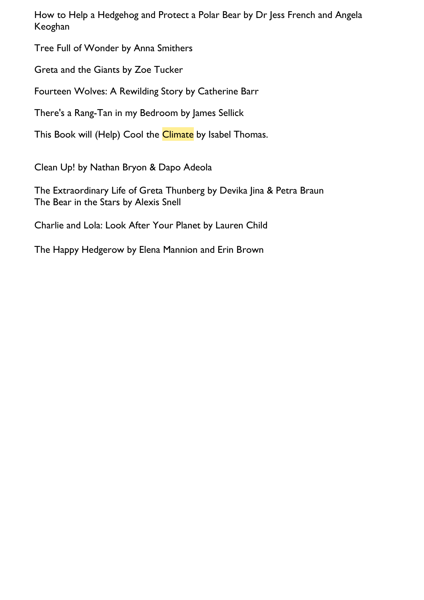How to Help a Hedgehog and Protect a Polar Bear by Dr Jess French and Angela Keoghan

Tree Full of Wonder by Anna Smithers

Greta and the Giants by Zoe Tucker

Fourteen Wolves: A Rewilding Story by Catherine Barr

There's a Rang-Tan in my Bedroom by James Sellick

This Book will (Help) Cool the Climate by Isabel Thomas.

[Clean Up!](https://www.penguin.co.uk/books/308216/clean-up-/9780241345894.html) by Nathan Bryon & Dapo Adeola

[The Extraordinary Life of Greta Thunberg](https://www.penguin.co.uk/books/316876/the-extraordinary-life-of-greta-thunberg/9780241443897.html) by Devika Jina & Petra Braun [The Bear in the Stars](https://www.penguin.co.uk/books/316224/the-bear-in-the-stars/9780241441923.html) by Alexis Snell

[Charlie and Lola: Look After Your Planet](https://www.penguin.co.uk/books/60114/charlie-and-lola--look-after-your-planet.html) by Lauren Child

The Happy Hedgerow by Elena Mannion and Erin Brown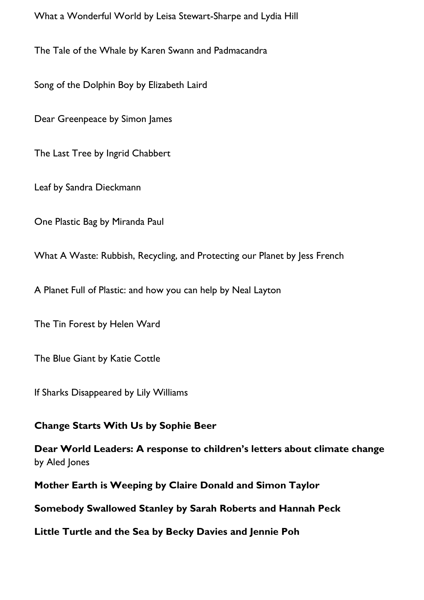What a Wonderful World by Leisa Stewart-Sharpe and Lydia Hill

The Tale of the Whale by Karen Swann and Padmacandra

Song of the Dolphin Boy by Elizabeth Laird

Dear Greenpeace by Simon James

The Last Tree by Ingrid Chabbert

Leaf by Sandra Dieckmann

One Plastic Bag by Miranda Paul

What A Waste: Rubbish, Recycling, and Protecting our Planet by Jess French

A Planet Full of Plastic: and how you can help by Neal Layton

The Tin Forest by Helen Ward

The Blue Giant by Katie Cottle

If Sharks Disappeared by Lily Williams

# **[Change Starts With Us](https://www.amazon.co.uk/Change-Starts-Us-Sophie-Beer/dp/1838910654/ref=sr_1_8?crid=D70CXAP6PGWX&keywords=childrens+books+about+climate+change&qid=1644268977&sprefix=childrens+books+about+climate+change%2Caps%2C76&sr=8-8) by [Sophie Beer](https://www.amazon.co.uk/Sophie-Beer/e/B083M5MVWK?ref=sr_ntt_srch_lnk_8&qid=1644268977&sr=8-8)**

**[Dear World Leaders: A response to children's letters about climate change](https://www.amazon.co.uk/Dear-World-Leaders-response-childrens/dp/B099THVDRV/ref=sr_1_9?crid=D70CXAP6PGWX&keywords=childrens+books+about+climate+change&qid=1644268977&sprefix=childrens+books+about+climate+change%2Caps%2C76&sr=8-9)** by [Aled Jones](https://www.amazon.co.uk/Aled-Jones/e/B0999BV538?ref=sr_ntt_srch_lnk_9&qid=1644268977&sr=8-9)

**[Mother Earth is Weeping](https://www.amazon.co.uk/Mother-Earth-Weeping-Claire-Donald/dp/1838094415/ref=sr_1_18?crid=D70CXAP6PGWX&keywords=childrens+books+about+climate+change&qid=1644269048&sprefix=childrens+books+about+climate+change%2Caps%2C76&sr=8-18) by [Claire Donald](https://www.amazon.co.uk/Claire-Donald/e/B08GYPN4KQ?ref=sr_ntt_srch_lnk_18&qid=1644269048&sr=8-18) and Simon Taylor**

**[Somebody Swallowed Stanley](https://www.amazon.co.uk/Somebody-Swallowed-Stanley-Sarah-Roberts/dp/1407195107/ref=sr_1_21?crid=D70CXAP6PGWX&keywords=childrens+books+about+climate+change&qid=1644269110&sprefix=childrens+books+about+climate+change%2Caps%2C76&sr=8-21) by [Sarah Roberts](https://www.amazon.co.uk/Sarah-Roberts/e/B07S2WP93S?ref=sr_ntt_srch_lnk_21&qid=1644269110&sr=8-21) and Hannah Peck**

**[Little Turtle and the Sea](https://www.amazon.co.uk/Little-Turtle-Sea-Becky-Davies/dp/1788815815/ref=sr_1_21?crid=D70CXAP6PGWX&keywords=childrens+books+about+climate+change&qid=1644269110&sprefix=childrens+books+about+climate+change%2Caps%2C76&sr=8-21) by Becky Davies and [Jennie Poh](https://www.amazon.co.uk/Jennie-Poh/e/B007FMKPMO?ref=sr_ntt_srch_lnk_21&qid=1644269110&sr=8-21)**